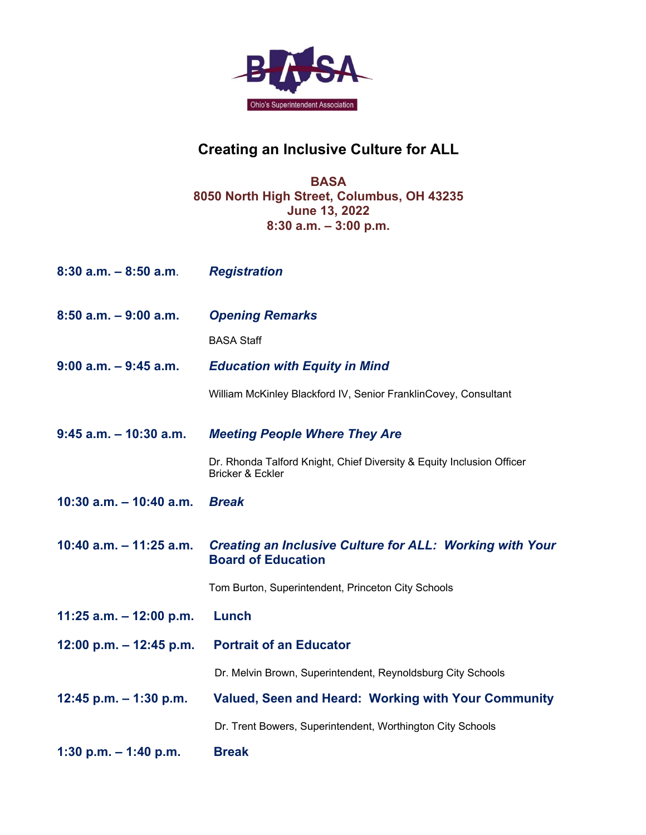

# **Creating an Inclusive Culture for ALL**

## **BASA 8050 North High Street, Columbus, OH 43235 June 13, 2022 8:30 a.m. – 3:00 p.m.**

| $8:30$ a.m. $-8:50$ a.m.   | <b>Registration</b>                                                                          |
|----------------------------|----------------------------------------------------------------------------------------------|
| $8:50$ a.m. $-9:00$ a.m.   | <b>Opening Remarks</b>                                                                       |
|                            | <b>BASA Staff</b>                                                                            |
| $9:00$ a.m. $-9:45$ a.m.   | <b>Education with Equity in Mind</b>                                                         |
|                            | William McKinley Blackford IV, Senior FranklinCovey, Consultant                              |
| $9:45$ a.m. $-10:30$ a.m.  | <b>Meeting People Where They Are</b>                                                         |
|                            | Dr. Rhonda Talford Knight, Chief Diversity & Equity Inclusion Officer<br>Bricker & Eckler    |
| 10:30 $a.m. - 10:40 a.m.$  | <b>Break</b>                                                                                 |
| $10:40$ a.m. $-11:25$ a.m. | <b>Creating an Inclusive Culture for ALL: Working with Your</b><br><b>Board of Education</b> |
|                            | Tom Burton, Superintendent, Princeton City Schools                                           |
| 11:25 a.m. $-$ 12:00 p.m.  | Lunch                                                                                        |
| 12:00 p.m. $-$ 12:45 p.m.  | <b>Portrait of an Educator</b>                                                               |
|                            | Dr. Melvin Brown, Superintendent, Reynoldsburg City Schools                                  |
| 12:45 p.m. $-$ 1:30 p.m.   | <b>Valued, Seen and Heard: Working with Your Community</b>                                   |
|                            | Dr. Trent Bowers, Superintendent, Worthington City Schools                                   |
| 1:30 p.m. $-$ 1:40 p.m.    | <b>Break</b>                                                                                 |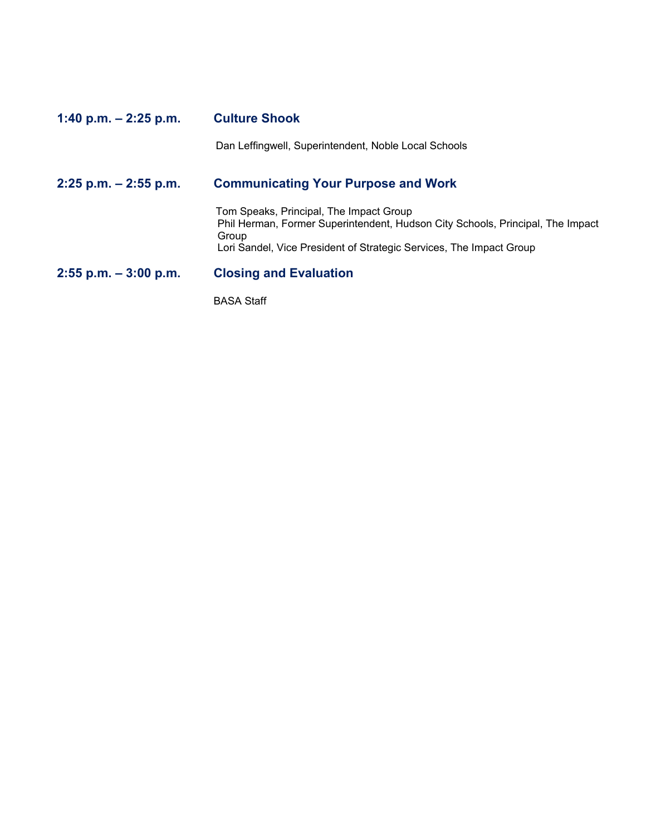# **1:40 p.m. – 2:25 p.m. Culture Shook** Dan Leffingwell, Superintendent, Noble Local Schools **2:25 p.m. – 2:55 p.m. Communicating Your Purpose and Work** Tom Speaks, Principal, The Impact Group Phil Herman, Former Superintendent, Hudson City Schools, Principal, The Impact Group Lori Sandel, Vice President of Strategic Services, The Impact Group **2:55 p.m. – 3:00 p.m. Closing and Evaluation**  BASA Staff